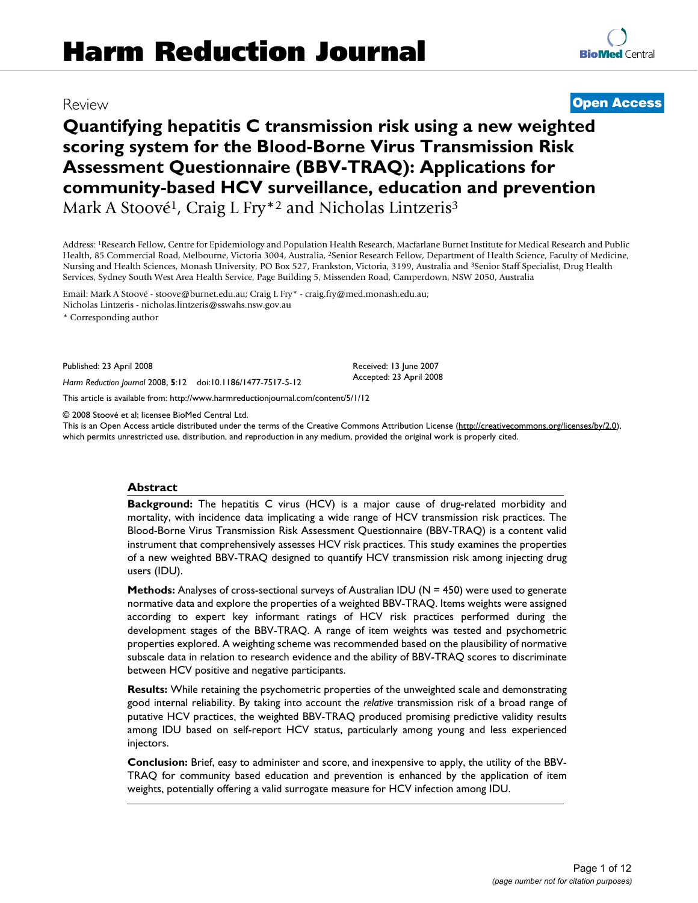# Review **[Open Access](http://www.biomedcentral.com/info/about/charter/)**

# **Quantifying hepatitis C transmission risk using a new weighted scoring system for the Blood-Borne Virus Transmission Risk Assessment Questionnaire (BBV-TRAQ): Applications for community-based HCV surveillance, education and prevention** Mark A Stoové<sup>1</sup>, Craig L Fry<sup>\*2</sup> and Nicholas Lintzeris<sup>3</sup>

Address: 1Research Fellow, Centre for Epidemiology and Population Health Research, Macfarlane Burnet Institute for Medical Research and Public Health, 85 Commercial Road, Melbourne, Victoria 3004, Australia, 2Senior Research Fellow, Department of Health Science, Faculty of Medicine, Nursing and Health Sciences, Monash University, PO Box 527, Frankston, Victoria, 3199, Australia and 3Senior Staff Specialist, Drug Health Services, Sydney South West Area Health Service, Page Building 5, Missenden Road, Camperdown, NSW 2050, Australia

Email: Mark A Stoové - stoove@burnet.edu.au; Craig L Fry\* - craig.fry@med.monash.edu.au; Nicholas Lintzeris - nicholas.lintzeris@sswahs.nsw.gov.au

\* Corresponding author

Published: 23 April 2008

*Harm Reduction Journal* 2008, **5**:12 doi:10.1186/1477-7517-5-12

[This article is available from: http://www.harmreductionjournal.com/content/5/1/12](http://www.harmreductionjournal.com/content/5/1/12)

© 2008 Stoové et al; licensee BioMed Central Ltd.

This is an Open Access article distributed under the terms of the Creative Commons Attribution License [\(http://creativecommons.org/licenses/by/2.0\)](http://creativecommons.org/licenses/by/2.0), which permits unrestricted use, distribution, and reproduction in any medium, provided the original work is properly cited.

Received: 13 June 2007 Accepted: 23 April 2008

#### **Abstract**

**Background:** The hepatitis C virus (HCV) is a major cause of drug-related morbidity and mortality, with incidence data implicating a wide range of HCV transmission risk practices. The Blood-Borne Virus Transmission Risk Assessment Questionnaire (BBV-TRAQ) is a content valid instrument that comprehensively assesses HCV risk practices. This study examines the properties of a new weighted BBV-TRAQ designed to quantify HCV transmission risk among injecting drug users (IDU).

**Methods:** Analyses of cross-sectional surveys of Australian IDU (N = 450) were used to generate normative data and explore the properties of a weighted BBV-TRAQ. Items weights were assigned according to expert key informant ratings of HCV risk practices performed during the development stages of the BBV-TRAQ. A range of item weights was tested and psychometric properties explored. A weighting scheme was recommended based on the plausibility of normative subscale data in relation to research evidence and the ability of BBV-TRAQ scores to discriminate between HCV positive and negative participants.

**Results:** While retaining the psychometric properties of the unweighted scale and demonstrating good internal reliability. By taking into account the *relative* transmission risk of a broad range of putative HCV practices, the weighted BBV-TRAQ produced promising predictive validity results among IDU based on self-report HCV status, particularly among young and less experienced injectors.

**Conclusion:** Brief, easy to administer and score, and inexpensive to apply, the utility of the BBV-TRAQ for community based education and prevention is enhanced by the application of item weights, potentially offering a valid surrogate measure for HCV infection among IDU.

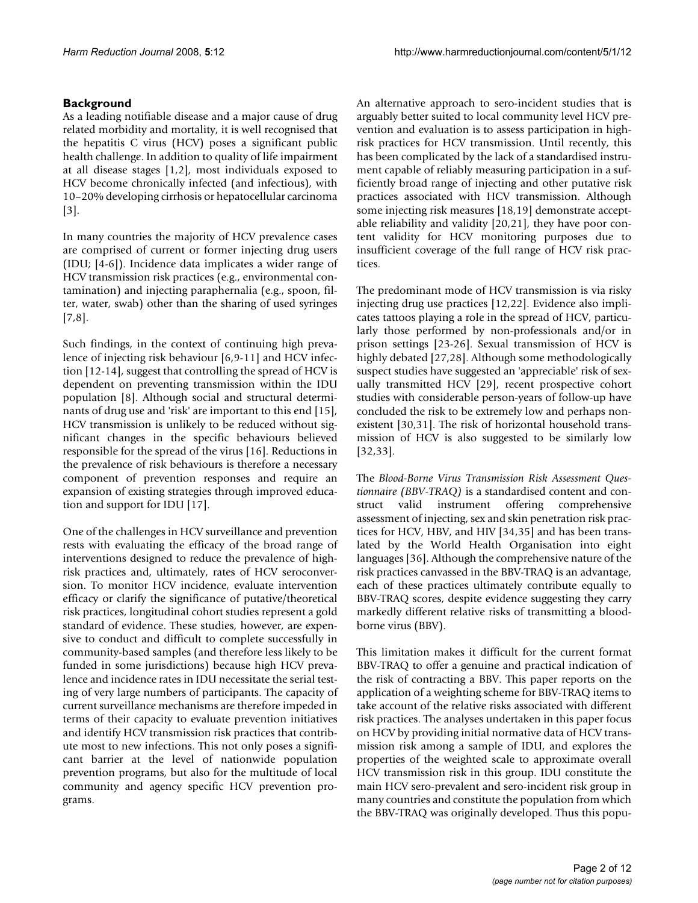# **Background**

As a leading notifiable disease and a major cause of drug related morbidity and mortality, it is well recognised that the hepatitis C virus (HCV) poses a significant public health challenge. In addition to quality of life impairment at all disease stages [1,2], most individuals exposed to HCV become chronically infected (and infectious), with 10–20% developing cirrhosis or hepatocellular carcinoma  $|3|$ .

In many countries the majority of HCV prevalence cases are comprised of current or former injecting drug users (IDU; [4-6]). Incidence data implicates a wider range of HCV transmission risk practices (e.g., environmental contamination) and injecting paraphernalia (e.g., spoon, filter, water, swab) other than the sharing of used syringes [7,8].

Such findings, in the context of continuing high prevalence of injecting risk behaviour [6,9-11] and HCV infection [12-14], suggest that controlling the spread of HCV is dependent on preventing transmission within the IDU population [8]. Although social and structural determinants of drug use and 'risk' are important to this end [15], HCV transmission is unlikely to be reduced without significant changes in the specific behaviours believed responsible for the spread of the virus [16]. Reductions in the prevalence of risk behaviours is therefore a necessary component of prevention responses and require an expansion of existing strategies through improved education and support for IDU [17].

One of the challenges in HCV surveillance and prevention rests with evaluating the efficacy of the broad range of interventions designed to reduce the prevalence of highrisk practices and, ultimately, rates of HCV seroconversion. To monitor HCV incidence, evaluate intervention efficacy or clarify the significance of putative/theoretical risk practices, longitudinal cohort studies represent a gold standard of evidence. These studies, however, are expensive to conduct and difficult to complete successfully in community-based samples (and therefore less likely to be funded in some jurisdictions) because high HCV prevalence and incidence rates in IDU necessitate the serial testing of very large numbers of participants. The capacity of current surveillance mechanisms are therefore impeded in terms of their capacity to evaluate prevention initiatives and identify HCV transmission risk practices that contribute most to new infections. This not only poses a significant barrier at the level of nationwide population prevention programs, but also for the multitude of local community and agency specific HCV prevention programs.

An alternative approach to sero-incident studies that is arguably better suited to local community level HCV prevention and evaluation is to assess participation in highrisk practices for HCV transmission. Until recently, this has been complicated by the lack of a standardised instrument capable of reliably measuring participation in a sufficiently broad range of injecting and other putative risk practices associated with HCV transmission. Although some injecting risk measures [18,19] demonstrate acceptable reliability and validity [20,21], they have poor content validity for HCV monitoring purposes due to insufficient coverage of the full range of HCV risk practices.

The predominant mode of HCV transmission is via risky injecting drug use practices [12,22]. Evidence also implicates tattoos playing a role in the spread of HCV, particularly those performed by non-professionals and/or in prison settings [23-26]. Sexual transmission of HCV is highly debated [27,28]. Although some methodologically suspect studies have suggested an 'appreciable' risk of sexually transmitted HCV [29], recent prospective cohort studies with considerable person-years of follow-up have concluded the risk to be extremely low and perhaps nonexistent [30,31]. The risk of horizontal household transmission of HCV is also suggested to be similarly low [32,33].

The *Blood-Borne Virus Transmission Risk Assessment Questionnaire (BBV-TRAQ)* is a standardised content and construct valid instrument offering comprehensive assessment of injecting, sex and skin penetration risk practices for HCV, HBV, and HIV [34,35] and has been translated by the World Health Organisation into eight languages [36]. Although the comprehensive nature of the risk practices canvassed in the BBV-TRAQ is an advantage, each of these practices ultimately contribute equally to BBV-TRAQ scores, despite evidence suggesting they carry markedly different relative risks of transmitting a bloodborne virus (BBV).

This limitation makes it difficult for the current format BBV-TRAQ to offer a genuine and practical indication of the risk of contracting a BBV. This paper reports on the application of a weighting scheme for BBV-TRAQ items to take account of the relative risks associated with different risk practices. The analyses undertaken in this paper focus on HCV by providing initial normative data of HCV transmission risk among a sample of IDU, and explores the properties of the weighted scale to approximate overall HCV transmission risk in this group. IDU constitute the main HCV sero-prevalent and sero-incident risk group in many countries and constitute the population from which the BBV-TRAQ was originally developed. Thus this popu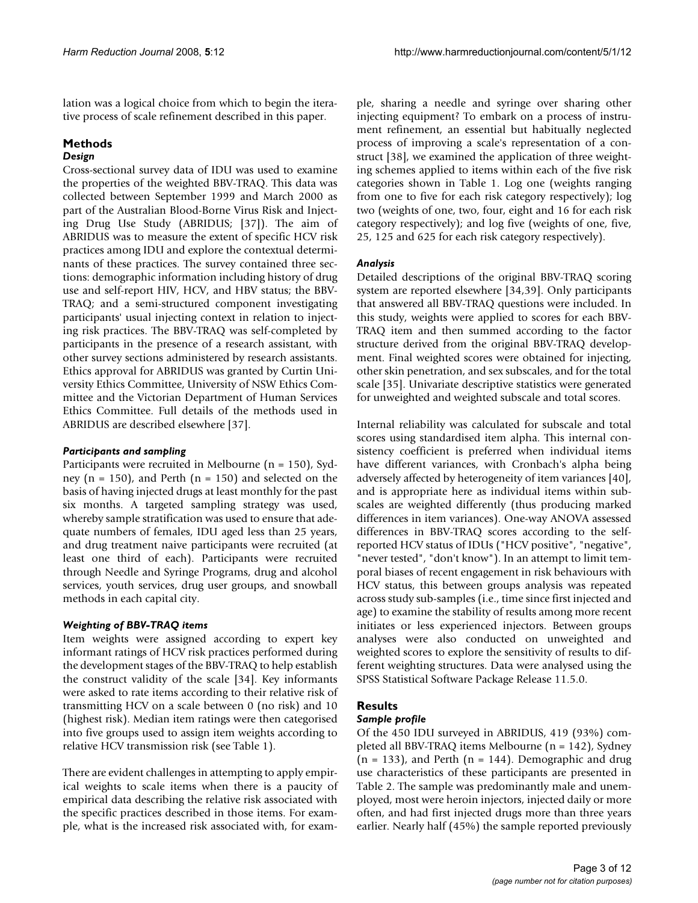lation was a logical choice from which to begin the iterative process of scale refinement described in this paper.

# **Methods**

# *Design*

Cross-sectional survey data of IDU was used to examine the properties of the weighted BBV-TRAQ. This data was collected between September 1999 and March 2000 as part of the Australian Blood-Borne Virus Risk and Injecting Drug Use Study (ABRIDUS; [37]). The aim of ABRIDUS was to measure the extent of specific HCV risk practices among IDU and explore the contextual determinants of these practices. The survey contained three sections: demographic information including history of drug use and self-report HIV, HCV, and HBV status; the BBV-TRAQ; and a semi-structured component investigating participants' usual injecting context in relation to injecting risk practices. The BBV-TRAQ was self-completed by participants in the presence of a research assistant, with other survey sections administered by research assistants. Ethics approval for ABRIDUS was granted by Curtin University Ethics Committee, University of NSW Ethics Committee and the Victorian Department of Human Services Ethics Committee. Full details of the methods used in ABRIDUS are described elsewhere [37].

# *Participants and sampling*

Participants were recruited in Melbourne (n = 150), Sydney ( $n = 150$ ), and Perth ( $n = 150$ ) and selected on the basis of having injected drugs at least monthly for the past six months. A targeted sampling strategy was used, whereby sample stratification was used to ensure that adequate numbers of females, IDU aged less than 25 years, and drug treatment naive participants were recruited (at least one third of each). Participants were recruited through Needle and Syringe Programs, drug and alcohol services, youth services, drug user groups, and snowball methods in each capital city.

# *Weighting of BBV-TRAQ items*

Item weights were assigned according to expert key informant ratings of HCV risk practices performed during the development stages of the BBV-TRAQ to help establish the construct validity of the scale [34]. Key informants were asked to rate items according to their relative risk of transmitting HCV on a scale between 0 (no risk) and 10 (highest risk). Median item ratings were then categorised into five groups used to assign item weights according to relative HCV transmission risk (see Table 1).

There are evident challenges in attempting to apply empirical weights to scale items when there is a paucity of empirical data describing the relative risk associated with the specific practices described in those items. For example, what is the increased risk associated with, for example, sharing a needle and syringe over sharing other injecting equipment? To embark on a process of instrument refinement, an essential but habitually neglected process of improving a scale's representation of a construct [38], we examined the application of three weighting schemes applied to items within each of the five risk categories shown in Table 1. Log one (weights ranging from one to five for each risk category respectively); log two (weights of one, two, four, eight and 16 for each risk category respectively); and log five (weights of one, five, 25, 125 and 625 for each risk category respectively).

# *Analysis*

Detailed descriptions of the original BBV-TRAQ scoring system are reported elsewhere [34,39]. Only participants that answered all BBV-TRAQ questions were included. In this study, weights were applied to scores for each BBV-TRAQ item and then summed according to the factor structure derived from the original BBV-TRAQ development. Final weighted scores were obtained for injecting, other skin penetration, and sex subscales, and for the total scale [35]. Univariate descriptive statistics were generated for unweighted and weighted subscale and total scores.

Internal reliability was calculated for subscale and total scores using standardised item alpha. This internal consistency coefficient is preferred when individual items have different variances, with Cronbach's alpha being adversely affected by heterogeneity of item variances [40], and is appropriate here as individual items within subscales are weighted differently (thus producing marked differences in item variances). One-way ANOVA assessed differences in BBV-TRAQ scores according to the selfreported HCV status of IDUs ("HCV positive", "negative", "never tested", "don't know"). In an attempt to limit temporal biases of recent engagement in risk behaviours with HCV status, this between groups analysis was repeated across study sub-samples (i.e., time since first injected and age) to examine the stability of results among more recent initiates or less experienced injectors. Between groups analyses were also conducted on unweighted and weighted scores to explore the sensitivity of results to different weighting structures. Data were analysed using the SPSS Statistical Software Package Release 11.5.0.

# **Results**

# *Sample profile*

Of the 450 IDU surveyed in ABRIDUS, 419 (93%) completed all BBV-TRAQ items Melbourne (n = 142), Sydney  $(n = 133)$ , and Perth  $(n = 144)$ . Demographic and drug use characteristics of these participants are presented in Table 2. The sample was predominantly male and unemployed, most were heroin injectors, injected daily or more often, and had first injected drugs more than three years earlier. Nearly half (45%) the sample reported previously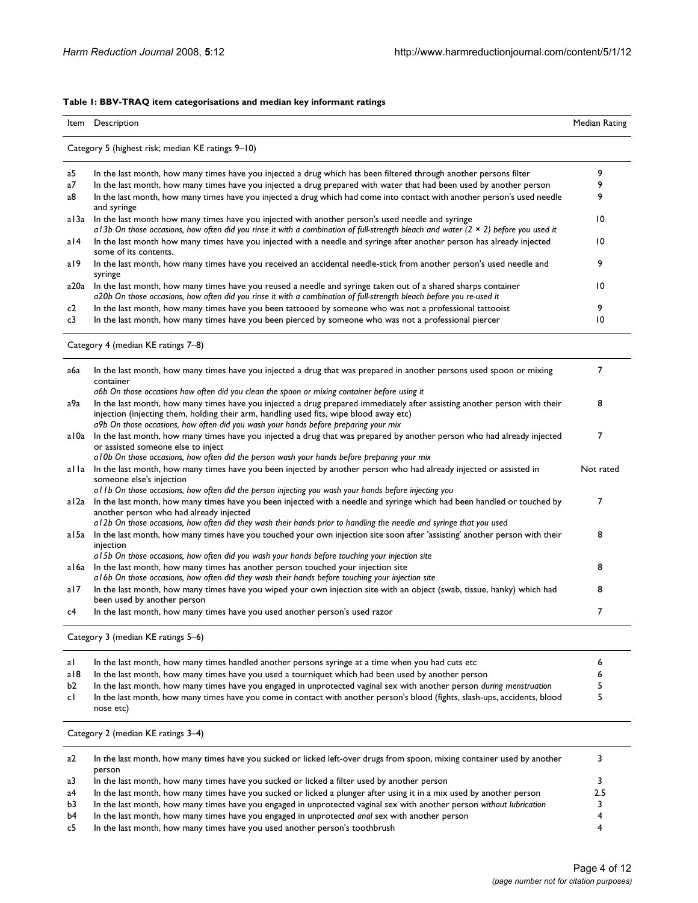#### **Table 1: BBV-TRAQ item categorisations and median key informant ratings**

| Item Description                                                                                                                                                                                                                         | Median Rating                                                                                                                                                                                                                                                                                                                                                                                                                                                                                                                                                                                                                                                                                                                                                                                                                                                                                                                                                                                                                                                                                                                                                                                                                                                                                                                                                             |  |  |  |  |  |  |
|------------------------------------------------------------------------------------------------------------------------------------------------------------------------------------------------------------------------------------------|---------------------------------------------------------------------------------------------------------------------------------------------------------------------------------------------------------------------------------------------------------------------------------------------------------------------------------------------------------------------------------------------------------------------------------------------------------------------------------------------------------------------------------------------------------------------------------------------------------------------------------------------------------------------------------------------------------------------------------------------------------------------------------------------------------------------------------------------------------------------------------------------------------------------------------------------------------------------------------------------------------------------------------------------------------------------------------------------------------------------------------------------------------------------------------------------------------------------------------------------------------------------------------------------------------------------------------------------------------------------------|--|--|--|--|--|--|
| Category 5 (highest risk; median KE ratings 9-10)                                                                                                                                                                                        |                                                                                                                                                                                                                                                                                                                                                                                                                                                                                                                                                                                                                                                                                                                                                                                                                                                                                                                                                                                                                                                                                                                                                                                                                                                                                                                                                                           |  |  |  |  |  |  |
| In the last month, how many times have you injected a drug which has been filtered through another persons filter                                                                                                                        | 9                                                                                                                                                                                                                                                                                                                                                                                                                                                                                                                                                                                                                                                                                                                                                                                                                                                                                                                                                                                                                                                                                                                                                                                                                                                                                                                                                                         |  |  |  |  |  |  |
| In the last month, how many times have you injected a drug prepared with water that had been used by another person                                                                                                                      | 9                                                                                                                                                                                                                                                                                                                                                                                                                                                                                                                                                                                                                                                                                                                                                                                                                                                                                                                                                                                                                                                                                                                                                                                                                                                                                                                                                                         |  |  |  |  |  |  |
| In the last month, how many times have you injected a drug which had come into contact with another person's used needle<br>and syringe                                                                                                  | 9                                                                                                                                                                                                                                                                                                                                                                                                                                                                                                                                                                                                                                                                                                                                                                                                                                                                                                                                                                                                                                                                                                                                                                                                                                                                                                                                                                         |  |  |  |  |  |  |
| In the last month how many times have you injected with another person's used needle and syringe<br>al 3b On those occasions, how often did you rinse it with a combination of full-strength bleach and water (2 × 2) before you used it | $ 0\rangle$                                                                                                                                                                                                                                                                                                                                                                                                                                                                                                                                                                                                                                                                                                                                                                                                                                                                                                                                                                                                                                                                                                                                                                                                                                                                                                                                                               |  |  |  |  |  |  |
| In the last month how many times have you injected with a needle and syringe after another person has already injected<br>some of its contents.                                                                                          | 10                                                                                                                                                                                                                                                                                                                                                                                                                                                                                                                                                                                                                                                                                                                                                                                                                                                                                                                                                                                                                                                                                                                                                                                                                                                                                                                                                                        |  |  |  |  |  |  |
| In the last month, how many times have you received an accidental needle-stick from another person's used needle and<br>syringe                                                                                                          | 9                                                                                                                                                                                                                                                                                                                                                                                                                                                                                                                                                                                                                                                                                                                                                                                                                                                                                                                                                                                                                                                                                                                                                                                                                                                                                                                                                                         |  |  |  |  |  |  |
| In the last month, how many times have you reused a needle and syringe taken out of a shared sharps container<br>a20b On those occasions, how often did you rinse it with a combination of full-strength bleach before you re-used it    | $\overline{0}$                                                                                                                                                                                                                                                                                                                                                                                                                                                                                                                                                                                                                                                                                                                                                                                                                                                                                                                                                                                                                                                                                                                                                                                                                                                                                                                                                            |  |  |  |  |  |  |
| In the last month, how many times have you been tattooed by someone who was not a professional tattooist                                                                                                                                 | 9                                                                                                                                                                                                                                                                                                                                                                                                                                                                                                                                                                                                                                                                                                                                                                                                                                                                                                                                                                                                                                                                                                                                                                                                                                                                                                                                                                         |  |  |  |  |  |  |
| In the last month, how many times have you been pierced by someone who was not a professional piercer                                                                                                                                    | 10                                                                                                                                                                                                                                                                                                                                                                                                                                                                                                                                                                                                                                                                                                                                                                                                                                                                                                                                                                                                                                                                                                                                                                                                                                                                                                                                                                        |  |  |  |  |  |  |
| Category 4 (median KE ratings 7-8)                                                                                                                                                                                                       |                                                                                                                                                                                                                                                                                                                                                                                                                                                                                                                                                                                                                                                                                                                                                                                                                                                                                                                                                                                                                                                                                                                                                                                                                                                                                                                                                                           |  |  |  |  |  |  |
| In the last month, how many times have you injected a drug that was prepared in another persons used spoon or mixing<br>container                                                                                                        | 7                                                                                                                                                                                                                                                                                                                                                                                                                                                                                                                                                                                                                                                                                                                                                                                                                                                                                                                                                                                                                                                                                                                                                                                                                                                                                                                                                                         |  |  |  |  |  |  |
| a6b On those occasions how often did you clean the spoon or mixing container before using it                                                                                                                                             |                                                                                                                                                                                                                                                                                                                                                                                                                                                                                                                                                                                                                                                                                                                                                                                                                                                                                                                                                                                                                                                                                                                                                                                                                                                                                                                                                                           |  |  |  |  |  |  |
| injection (injecting them, holding their arm, handling used fits, wipe blood away etc)                                                                                                                                                   | 8                                                                                                                                                                                                                                                                                                                                                                                                                                                                                                                                                                                                                                                                                                                                                                                                                                                                                                                                                                                                                                                                                                                                                                                                                                                                                                                                                                         |  |  |  |  |  |  |
|                                                                                                                                                                                                                                          |                                                                                                                                                                                                                                                                                                                                                                                                                                                                                                                                                                                                                                                                                                                                                                                                                                                                                                                                                                                                                                                                                                                                                                                                                                                                                                                                                                           |  |  |  |  |  |  |
| or assisted someone else to inject                                                                                                                                                                                                       | 7                                                                                                                                                                                                                                                                                                                                                                                                                                                                                                                                                                                                                                                                                                                                                                                                                                                                                                                                                                                                                                                                                                                                                                                                                                                                                                                                                                         |  |  |  |  |  |  |
|                                                                                                                                                                                                                                          |                                                                                                                                                                                                                                                                                                                                                                                                                                                                                                                                                                                                                                                                                                                                                                                                                                                                                                                                                                                                                                                                                                                                                                                                                                                                                                                                                                           |  |  |  |  |  |  |
| someone else's injection                                                                                                                                                                                                                 | Not rated                                                                                                                                                                                                                                                                                                                                                                                                                                                                                                                                                                                                                                                                                                                                                                                                                                                                                                                                                                                                                                                                                                                                                                                                                                                                                                                                                                 |  |  |  |  |  |  |
|                                                                                                                                                                                                                                          |                                                                                                                                                                                                                                                                                                                                                                                                                                                                                                                                                                                                                                                                                                                                                                                                                                                                                                                                                                                                                                                                                                                                                                                                                                                                                                                                                                           |  |  |  |  |  |  |
| another person who had already injected                                                                                                                                                                                                  | $\overline{7}$                                                                                                                                                                                                                                                                                                                                                                                                                                                                                                                                                                                                                                                                                                                                                                                                                                                                                                                                                                                                                                                                                                                                                                                                                                                                                                                                                            |  |  |  |  |  |  |
|                                                                                                                                                                                                                                          |                                                                                                                                                                                                                                                                                                                                                                                                                                                                                                                                                                                                                                                                                                                                                                                                                                                                                                                                                                                                                                                                                                                                                                                                                                                                                                                                                                           |  |  |  |  |  |  |
| injection                                                                                                                                                                                                                                | 8                                                                                                                                                                                                                                                                                                                                                                                                                                                                                                                                                                                                                                                                                                                                                                                                                                                                                                                                                                                                                                                                                                                                                                                                                                                                                                                                                                         |  |  |  |  |  |  |
|                                                                                                                                                                                                                                          |                                                                                                                                                                                                                                                                                                                                                                                                                                                                                                                                                                                                                                                                                                                                                                                                                                                                                                                                                                                                                                                                                                                                                                                                                                                                                                                                                                           |  |  |  |  |  |  |
|                                                                                                                                                                                                                                          | 8                                                                                                                                                                                                                                                                                                                                                                                                                                                                                                                                                                                                                                                                                                                                                                                                                                                                                                                                                                                                                                                                                                                                                                                                                                                                                                                                                                         |  |  |  |  |  |  |
| In the last month, how many times have you wiped your own injection site with an object (swab, tissue, hanky) which had<br>been used by another person                                                                                   | 8                                                                                                                                                                                                                                                                                                                                                                                                                                                                                                                                                                                                                                                                                                                                                                                                                                                                                                                                                                                                                                                                                                                                                                                                                                                                                                                                                                         |  |  |  |  |  |  |
| a l 2a                                                                                                                                                                                                                                   | In the last month, how many times have you injected a drug prepared immediately after assisting another person with their<br>a9b On those occasions, how often did you wash your hands before preparing your mix<br>In the last month, how many times have you injected a drug that was prepared by another person who had already injected<br>al 0b On those occasions, how often did the person wash your hands before preparing your mix<br>alla In the last month, how many times have you been injected by another person who had already injected or assisted in<br>al 1b On those occasions, how often did the person injecting you wash your hands before injecting you<br>In the last month, how many times have you been injected with a needle and syringe which had been handled or touched by<br>al 2b On those occasions, how often did they wash their hands prior to handling the needle and syringe that you used<br>a l 5a In the last month, how many times have you touched your own injection site soon after 'assisting' another person with their<br>al 5b On those occasions, how often did you wash your hands before touching your injection site<br>a16a In the last month, how many times has another person touched your injection site<br>al 6b On those occasions, how often did they wash their hands before touching your injection site |  |  |  |  |  |  |

c4 In the last month, how many times have you used another person's used razor 7

Category 3 (median KE ratings 5–6)

| al<br>a 18<br>b2<br>cl | In the last month, how many times handled another persons syringe at a time when you had cuts etc<br>In the last month, how many times have you used a tourniquet which had been used by another person<br>In the last month, how many times have you engaged in unprotected vaginal sex with another person during menstruation<br>In the last month, how many times have you come in contact with another person's blood (fights, slash-ups, accidents, blood<br>nose etc) |  |
|------------------------|------------------------------------------------------------------------------------------------------------------------------------------------------------------------------------------------------------------------------------------------------------------------------------------------------------------------------------------------------------------------------------------------------------------------------------------------------------------------------|--|
|------------------------|------------------------------------------------------------------------------------------------------------------------------------------------------------------------------------------------------------------------------------------------------------------------------------------------------------------------------------------------------------------------------------------------------------------------------------------------------------------------------|--|

Category 2 (median KE ratings 3–4)

| a2  | In the last month, how many times have you sucked or licked left-over drugs from spoon, mixing container used by another<br>person |     |
|-----|------------------------------------------------------------------------------------------------------------------------------------|-----|
| a3  | In the last month, how many times have you sucked or licked a filter used by another person                                        |     |
| a4  | In the last month, how many times have you sucked or licked a plunger after using it in a mix used by another person               | 2.5 |
| b3  | In the last month, how many times have you engaged in unprotected vaginal sex with another person without lubrication              |     |
| b4  | In the last month, how many times have you engaged in unprotected anal sex with another person                                     |     |
| -c5 | In the last month, how many times have you used another person's toothbrush                                                        |     |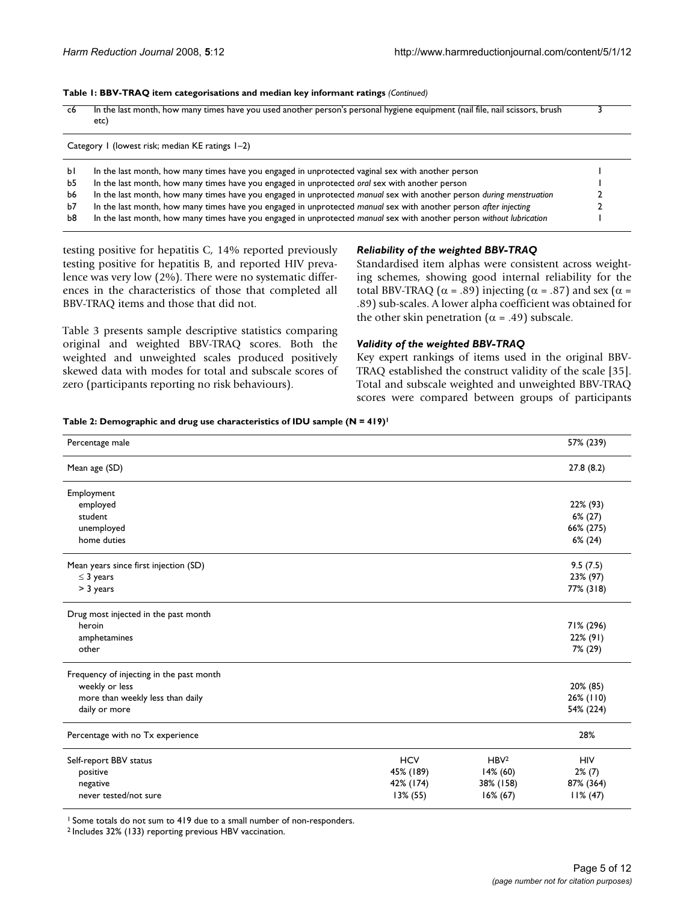#### **Table 1: BBV-TRAQ item categorisations and median key informant ratings** *(Continued)*

| C6        | In the last month, how many times have you used another person's personal hygiene equipment (nail file, nail scissors, brush<br>etc) |  |
|-----------|--------------------------------------------------------------------------------------------------------------------------------------|--|
|           | Category 1 (lowest risk; median KE ratings 1–2)                                                                                      |  |
| ъı        | In the last month, how many times have you engaged in unprotected vaginal sex with another person                                    |  |
| b5        | In the last month, how many times have you engaged in unprotected oral sex with another person                                       |  |
| b6        | In the last month, how many times have you engaged in unprotected manual sex with another person during menstruation                 |  |
| <b>b7</b> | In the last month, how many times have you engaged in unprotected manual sex with another person after injecting                     |  |
| b8        | In the last month, how many times have you engaged in unprotected manual sex with another person without lubrication                 |  |

testing positive for hepatitis C, 14% reported previously testing positive for hepatitis B, and reported HIV prevalence was very low (2%). There were no systematic differences in the characteristics of those that completed all BBV-TRAQ items and those that did not.

Table 3 presents sample descriptive statistics comparing original and weighted BBV-TRAQ scores. Both the weighted and unweighted scales produced positively skewed data with modes for total and subscale scores of zero (participants reporting no risk behaviours).

### *Reliability of the weighted BBV-TRAQ*

Standardised item alphas were consistent across weighting schemes, showing good internal reliability for the total BBV-TRAQ ( $\alpha$  = .89) injecting ( $\alpha$  = .87) and sex ( $\alpha$  = .89) sub-scales. A lower alpha coefficient was obtained for the other skin penetration ( $\alpha$  = .49) subscale.

#### *Validity of the weighted BBV-TRAQ*

Key expert rankings of items used in the original BBV-TRAQ established the construct validity of the scale [35]. Total and subscale weighted and unweighted BBV-TRAQ scores were compared between groups of participants

#### Table 2: Demographic and drug use characteristics of IDU sample (N = 419)<sup>1</sup>

| Percentage male                          |            |                  | 57% (239)  |
|------------------------------------------|------------|------------------|------------|
| Mean age (SD)                            |            |                  | 27.8(8.2)  |
| Employment                               |            |                  |            |
| employed                                 |            |                  | 22% (93)   |
| student                                  |            |                  | $6\%$ (27) |
| unemployed                               |            |                  | 66% (275)  |
| home duties                              |            |                  | $6\%$ (24) |
| Mean years since first injection (SD)    |            |                  | 9.5(7.5)   |
| $\leq$ 3 years                           |            |                  | 23% (97)   |
| $> 3$ years                              |            |                  | 77% (318)  |
| Drug most injected in the past month     |            |                  |            |
| heroin                                   |            |                  | 71% (296)  |
| amphetamines                             |            |                  | 22% (91)   |
| other                                    |            |                  | 7% (29)    |
| Frequency of injecting in the past month |            |                  |            |
| weekly or less                           |            |                  | 20% (85)   |
| more than weekly less than daily         |            |                  | 26% (110)  |
| daily or more                            |            |                  | 54% (224)  |
| Percentage with no Tx experience         |            |                  | 28%        |
| Self-report BBV status                   | <b>HCV</b> | HBV <sup>2</sup> | <b>HIV</b> |
| positive                                 | 45% (189)  | $14\%$ (60)      | $2\%$ (7)  |
| negative                                 | 42% (174)  | 38% (158)        | 87% (364)  |
| never tested/not sure                    | 13% (55)   | 16% (67)         | 11% (47)   |

1 Some totals do not sum to 419 due to a small number of non-responders.

2 Includes 32% (133) reporting previous HBV vaccination.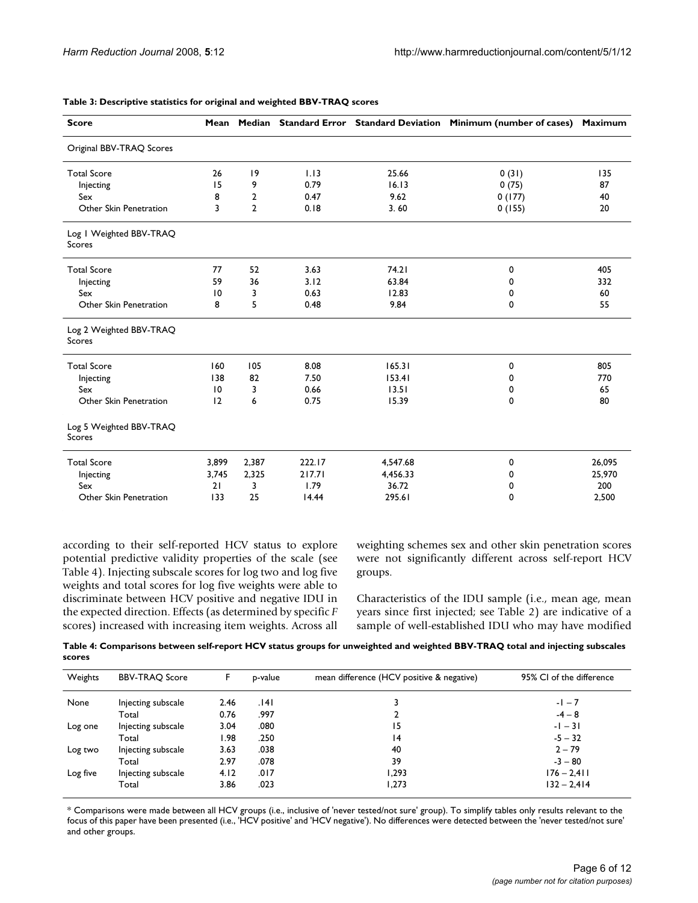| <b>Score</b>                      |       |                 |        |          | Mean Median Standard Error Standard Deviation Minimum (number of cases) | <b>Maximum</b> |  |
|-----------------------------------|-------|-----------------|--------|----------|-------------------------------------------------------------------------|----------------|--|
| Original BBV-TRAQ Scores          |       |                 |        |          |                                                                         |                |  |
| <b>Total Score</b>                | 26    | $\overline{19}$ | 1.13   | 25.66    | 0(31)                                                                   | 135            |  |
| Injecting                         | 15    | 9               | 0.79   | 16.13    | 0(75)                                                                   | 87             |  |
| Sex                               | 8     | $\overline{2}$  | 0.47   | 9.62     | 0(177)                                                                  | 40             |  |
| Other Skin Penetration            | 3     | $\overline{2}$  | 0.18   | 3.60     | 0(155)                                                                  | 20             |  |
| Log I Weighted BBV-TRAQ<br>Scores |       |                 |        |          |                                                                         |                |  |
| <b>Total Score</b>                | 77    | 52              | 3.63   | 74.21    | 0                                                                       | 405            |  |
| Injecting                         | 59    | 36              | 3.12   | 63.84    | 0                                                                       | 332            |  |
| Sex                               | 10    | 3               | 0.63   | 12.83    | 0                                                                       | 60             |  |
| Other Skin Penetration            | 8     | 5               | 0.48   | 9.84     | 0                                                                       | 55             |  |
| Log 2 Weighted BBV-TRAQ<br>Scores |       |                 |        |          |                                                                         |                |  |
| <b>Total Score</b>                | 160   | 105             | 8.08   | 165.31   | 0                                                                       | 805            |  |
| Injecting                         | 138   | 82              | 7.50   | 153.41   | 0                                                                       | 770            |  |
| Sex                               | 10    | 3               | 0.66   | 13.51    | 0                                                                       | 65             |  |
| Other Skin Penetration            | 12    | 6               | 0.75   | 15.39    | 0                                                                       | 80             |  |
| Log 5 Weighted BBV-TRAQ<br>Scores |       |                 |        |          |                                                                         |                |  |
| <b>Total Score</b>                | 3,899 | 2,387           | 222.17 | 4,547.68 | 0                                                                       | 26,095         |  |
| Injecting                         | 3,745 | 2,325           | 217.71 | 4,456.33 | 0                                                                       | 25,970         |  |
| Sex                               | 21    | 3               | 1.79   | 36.72    | 0                                                                       | 200            |  |
| Other Skin Penetration            | 133   | 25              | 14.44  | 295.61   | 0                                                                       | 2,500          |  |
|                                   |       |                 |        |          |                                                                         |                |  |

**Table 3: Descriptive statistics for original and weighted BBV-TRAQ scores**

according to their self-reported HCV status to explore potential predictive validity properties of the scale (see Table 4). Injecting subscale scores for log two and log five weights and total scores for log five weights were able to discriminate between HCV positive and negative IDU in the expected direction. Effects (as determined by specific *F* scores) increased with increasing item weights. Across all weighting schemes sex and other skin penetration scores were not significantly different across self-report HCV groups.

Characteristics of the IDU sample (i.e., mean age, mean years since first injected; see Table 2) are indicative of a sample of well-established IDU who may have modified

**Table 4: Comparisons between self-report HCV status groups for unweighted and weighted BBV-TRAQ total and injecting subscales scores**

| Weights  | <b>BBV-TRAQ Score</b> | F.   | p-value | mean difference (HCV positive & negative) | 95% CI of the difference |
|----------|-----------------------|------|---------|-------------------------------------------|--------------------------|
| None     | Injecting subscale    | 2.46 | ا14.    |                                           | $-1 - 7$                 |
|          | Total                 | 0.76 | .997    |                                           | $-4 - 8$                 |
| Log one  | Injecting subscale    | 3.04 | .080    | 15                                        | $-1 - 31$                |
|          | Total                 | I.98 | .250    | 14                                        | $-5 - 32$                |
| Log two  | Injecting subscale    | 3.63 | .038    | 40                                        | $2 - 79$                 |
|          | Total                 | 2.97 | .078    | 39                                        | $-3 - 80$                |
| Log five | Injecting subscale    | 4.12 | .017    | 1.293                                     | $176 - 2,411$            |
|          | Total                 | 3.86 | .023    | 1.273                                     | 132 – 2,414              |

\* Comparisons were made between all HCV groups (i.e., inclusive of 'never tested/not sure' group). To simplify tables only results relevant to the focus of this paper have been presented (i.e., 'HCV positive' and 'HCV negative'). No differences were detected between the 'never tested/not sure' and other groups.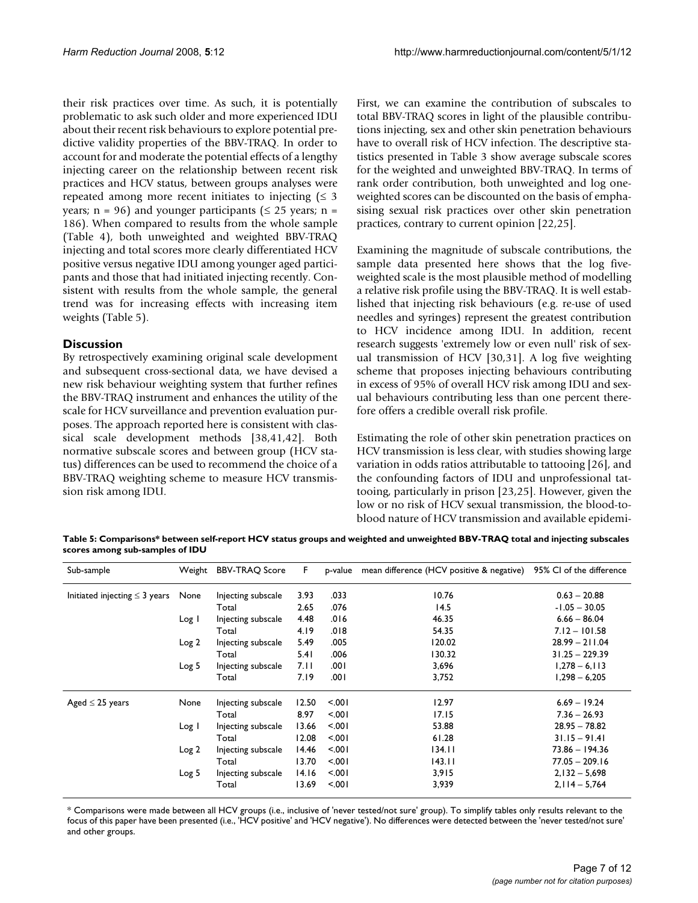their risk practices over time. As such, it is potentially problematic to ask such older and more experienced IDU about their recent risk behaviours to explore potential predictive validity properties of the BBV-TRAQ. In order to account for and moderate the potential effects of a lengthy injecting career on the relationship between recent risk practices and HCV status, between groups analyses were repeated among more recent initiates to injecting  $( \leq 3$ years;  $n = 96$ ) and younger participants ( $\leq 25$  years;  $n =$ 186). When compared to results from the whole sample (Table 4), both unweighted and weighted BBV-TRAQ injecting and total scores more clearly differentiated HCV positive versus negative IDU among younger aged participants and those that had initiated injecting recently. Consistent with results from the whole sample, the general trend was for increasing effects with increasing item weights (Table 5).

# **Discussion**

By retrospectively examining original scale development and subsequent cross-sectional data, we have devised a new risk behaviour weighting system that further refines the BBV-TRAQ instrument and enhances the utility of the scale for HCV surveillance and prevention evaluation purposes. The approach reported here is consistent with classical scale development methods [38,41,42]. Both normative subscale scores and between group (HCV status) differences can be used to recommend the choice of a BBV-TRAQ weighting scheme to measure HCV transmission risk among IDU.

First, we can examine the contribution of subscales to total BBV-TRAQ scores in light of the plausible contributions injecting, sex and other skin penetration behaviours have to overall risk of HCV infection. The descriptive statistics presented in Table 3 show average subscale scores for the weighted and unweighted BBV-TRAQ. In terms of rank order contribution, both unweighted and log oneweighted scores can be discounted on the basis of emphasising sexual risk practices over other skin penetration practices, contrary to current opinion [22,25].

Examining the magnitude of subscale contributions, the sample data presented here shows that the log fiveweighted scale is the most plausible method of modelling a relative risk profile using the BBV-TRAQ. It is well established that injecting risk behaviours (e.g. re-use of used needles and syringes) represent the greatest contribution to HCV incidence among IDU. In addition, recent research suggests 'extremely low or even null' risk of sexual transmission of HCV [30,31]. A log five weighting scheme that proposes injecting behaviours contributing in excess of 95% of overall HCV risk among IDU and sexual behaviours contributing less than one percent therefore offers a credible overall risk profile.

Estimating the role of other skin penetration practices on HCV transmission is less clear, with studies showing large variation in odds ratios attributable to tattooing [26], and the confounding factors of IDU and unprofessional tattooing, particularly in prison [23,25]. However, given the low or no risk of HCV sexual transmission, the blood-toblood nature of HCV transmission and available epidemi-

**Table 5: Comparisons\* between self-report HCV status groups and weighted and unweighted BBV-TRAQ total and injecting subscales scores among sub-samples of IDU**

| Sub-sample                         |                  | Weight BBV-TRAQ Score | F.    | p-value | mean difference (HCV positive & negative) | 95% CI of the difference |
|------------------------------------|------------------|-----------------------|-------|---------|-------------------------------------------|--------------------------|
| Initiated injecting $\leq$ 3 years | None             | Injecting subscale    | 3.93  | .033    | 10.76                                     | $0.63 - 20.88$           |
|                                    |                  | Total                 | 2.65  | .076    | 14.5                                      | $-1.05 - 30.05$          |
|                                    | Log I            | Injecting subscale    | 4.48  | .016    | 46.35                                     | $6.66 - 86.04$           |
|                                    |                  | Total                 | 4.19  | .018    | 54.35                                     | $7.12 - 101.58$          |
|                                    | Log <sub>2</sub> | Injecting subscale    | 5.49  | .005    | 120.02                                    | $28.99 - 211.04$         |
|                                    |                  | Total                 | 5.41  | .006    | 130.32                                    | $31.25 - 229.39$         |
|                                    | Log 5            | Injecting subscale    | 7.11  | .001    | 3,696                                     | $1,278 - 6,113$          |
|                                    |                  | Total                 | 7.19  | .001    | 3,752                                     | $1.298 - 6.205$          |
| Aged $\leq$ 25 years               | None             | Injecting subscale    | 12.50 | $500 -$ | 12.97                                     | $6.69 - 19.24$           |
|                                    |                  | Total                 | 8.97  | 5001    | 17.15                                     | $7.36 - 26.93$           |
|                                    | Log I            | Injecting subscale    | 13.66 | 5.001   | 53.88                                     | $28.95 - 78.82$          |
|                                    |                  | Total                 | 12.08 | 5.001   | 61.28                                     | $31.15 - 91.41$          |
|                                    | Log 2            | Injecting subscale    | 14.46 | 5.001   | 134.11                                    | $73.86 - 194.36$         |
|                                    |                  | Total                 | 13.70 | 5001    | 143.11                                    | $77.05 - 209.16$         |
|                                    | Log <sub>5</sub> | Injecting subscale    | 14.16 | 5.001   | 3,915                                     | $2,132 - 5,698$          |
|                                    |                  | Total                 | 13.69 | 5.001   | 3,939                                     | $2,114 - 5,764$          |

\* Comparisons were made between all HCV groups (i.e., inclusive of 'never tested/not sure' group). To simplify tables only results relevant to the focus of this paper have been presented (i.e., 'HCV positive' and 'HCV negative'). No differences were detected between the 'never tested/not sure' and other groups.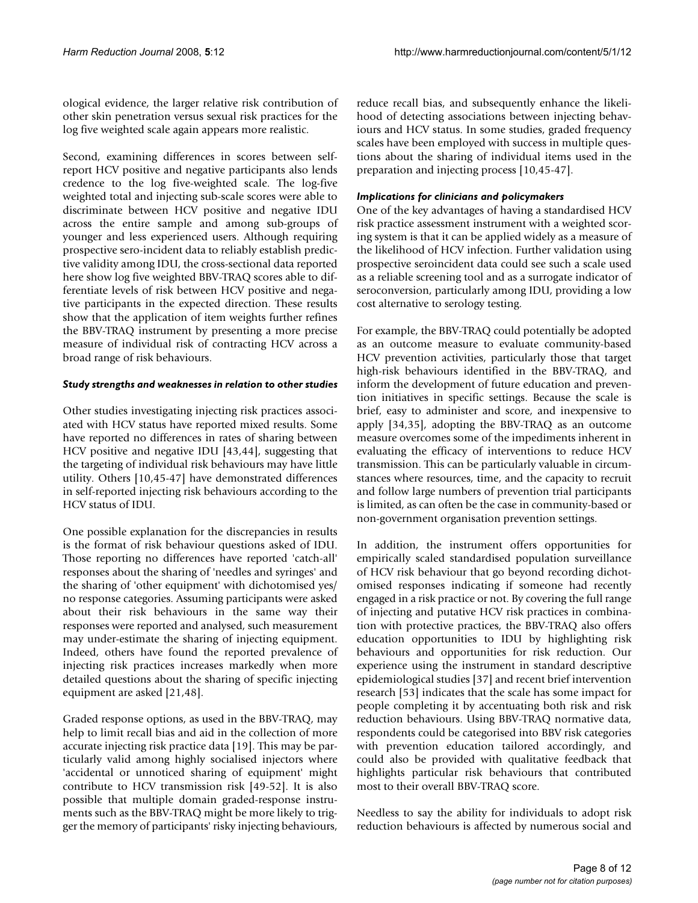ological evidence, the larger relative risk contribution of other skin penetration versus sexual risk practices for the log five weighted scale again appears more realistic.

Second, examining differences in scores between selfreport HCV positive and negative participants also lends credence to the log five-weighted scale. The log-five weighted total and injecting sub-scale scores were able to discriminate between HCV positive and negative IDU across the entire sample and among sub-groups of younger and less experienced users. Although requiring prospective sero-incident data to reliably establish predictive validity among IDU, the cross-sectional data reported here show log five weighted BBV-TRAQ scores able to differentiate levels of risk between HCV positive and negative participants in the expected direction. These results show that the application of item weights further refines the BBV-TRAQ instrument by presenting a more precise measure of individual risk of contracting HCV across a broad range of risk behaviours.

#### *Study strengths and weaknesses in relation to other studies*

Other studies investigating injecting risk practices associated with HCV status have reported mixed results. Some have reported no differences in rates of sharing between HCV positive and negative IDU [43,44], suggesting that the targeting of individual risk behaviours may have little utility. Others [10,45-47] have demonstrated differences in self-reported injecting risk behaviours according to the HCV status of IDU.

One possible explanation for the discrepancies in results is the format of risk behaviour questions asked of IDU. Those reporting no differences have reported 'catch-all' responses about the sharing of 'needles and syringes' and the sharing of 'other equipment' with dichotomised yes/ no response categories. Assuming participants were asked about their risk behaviours in the same way their responses were reported and analysed, such measurement may under-estimate the sharing of injecting equipment. Indeed, others have found the reported prevalence of injecting risk practices increases markedly when more detailed questions about the sharing of specific injecting equipment are asked [21,48].

Graded response options, as used in the BBV-TRAQ, may help to limit recall bias and aid in the collection of more accurate injecting risk practice data [19]. This may be particularly valid among highly socialised injectors where 'accidental or unnoticed sharing of equipment' might contribute to HCV transmission risk [49-52]. It is also possible that multiple domain graded-response instruments such as the BBV-TRAQ might be more likely to trigger the memory of participants' risky injecting behaviours,

reduce recall bias, and subsequently enhance the likelihood of detecting associations between injecting behaviours and HCV status. In some studies, graded frequency scales have been employed with success in multiple questions about the sharing of individual items used in the preparation and injecting process [10,45-47].

# *Implications for clinicians and policymakers*

One of the key advantages of having a standardised HCV risk practice assessment instrument with a weighted scoring system is that it can be applied widely as a measure of the likelihood of HCV infection. Further validation using prospective seroincident data could see such a scale used as a reliable screening tool and as a surrogate indicator of seroconversion, particularly among IDU, providing a low cost alternative to serology testing.

For example, the BBV-TRAQ could potentially be adopted as an outcome measure to evaluate community-based HCV prevention activities, particularly those that target high-risk behaviours identified in the BBV-TRAQ, and inform the development of future education and prevention initiatives in specific settings. Because the scale is brief, easy to administer and score, and inexpensive to apply [34,35], adopting the BBV-TRAQ as an outcome measure overcomes some of the impediments inherent in evaluating the efficacy of interventions to reduce HCV transmission. This can be particularly valuable in circumstances where resources, time, and the capacity to recruit and follow large numbers of prevention trial participants is limited, as can often be the case in community-based or non-government organisation prevention settings.

In addition, the instrument offers opportunities for empirically scaled standardised population surveillance of HCV risk behaviour that go beyond recording dichotomised responses indicating if someone had recently engaged in a risk practice or not. By covering the full range of injecting and putative HCV risk practices in combination with protective practices, the BBV-TRAQ also offers education opportunities to IDU by highlighting risk behaviours and opportunities for risk reduction. Our experience using the instrument in standard descriptive epidemiological studies [37] and recent brief intervention research [53] indicates that the scale has some impact for people completing it by accentuating both risk and risk reduction behaviours. Using BBV-TRAQ normative data, respondents could be categorised into BBV risk categories with prevention education tailored accordingly, and could also be provided with qualitative feedback that highlights particular risk behaviours that contributed most to their overall BBV-TRAQ score.

Needless to say the ability for individuals to adopt risk reduction behaviours is affected by numerous social and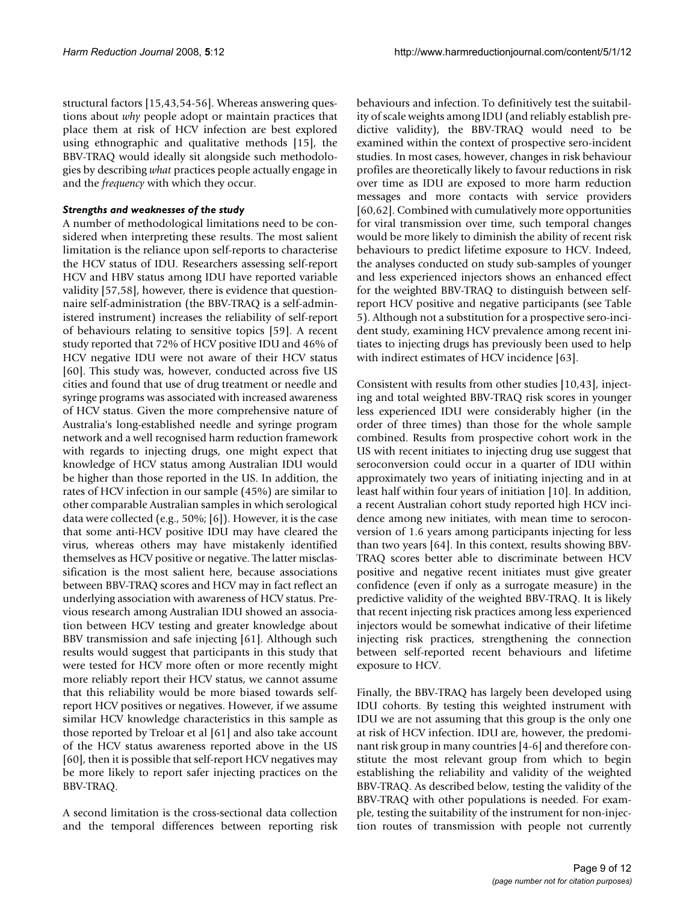structural factors [15,43,54-56]. Whereas answering questions about *why* people adopt or maintain practices that place them at risk of HCV infection are best explored using ethnographic and qualitative methods [15], the BBV-TRAQ would ideally sit alongside such methodologies by describing *what* practices people actually engage in and the *frequency* with which they occur.

## *Strengths and weaknesses of the study*

A number of methodological limitations need to be considered when interpreting these results. The most salient limitation is the reliance upon self-reports to characterise the HCV status of IDU. Researchers assessing self-report HCV and HBV status among IDU have reported variable validity [57,58], however, there is evidence that questionnaire self-administration (the BBV-TRAQ is a self-administered instrument) increases the reliability of self-report of behaviours relating to sensitive topics [59]. A recent study reported that 72% of HCV positive IDU and 46% of HCV negative IDU were not aware of their HCV status [60]. This study was, however, conducted across five US cities and found that use of drug treatment or needle and syringe programs was associated with increased awareness of HCV status. Given the more comprehensive nature of Australia's long-established needle and syringe program network and a well recognised harm reduction framework with regards to injecting drugs, one might expect that knowledge of HCV status among Australian IDU would be higher than those reported in the US. In addition, the rates of HCV infection in our sample (45%) are similar to other comparable Australian samples in which serological data were collected (e.g., 50%; [6]). However, it is the case that some anti-HCV positive IDU may have cleared the virus, whereas others may have mistakenly identified themselves as HCV positive or negative. The latter misclassification is the most salient here, because associations between BBV-TRAQ scores and HCV may in fact reflect an underlying association with awareness of HCV status. Previous research among Australian IDU showed an association between HCV testing and greater knowledge about BBV transmission and safe injecting [61]. Although such results would suggest that participants in this study that were tested for HCV more often or more recently might more reliably report their HCV status, we cannot assume that this reliability would be more biased towards selfreport HCV positives or negatives. However, if we assume similar HCV knowledge characteristics in this sample as those reported by Treloar et al [61] and also take account of the HCV status awareness reported above in the US [60], then it is possible that self-report HCV negatives may be more likely to report safer injecting practices on the BBV-TRAQ.

A second limitation is the cross-sectional data collection and the temporal differences between reporting risk behaviours and infection. To definitively test the suitability of scale weights among IDU (and reliably establish predictive validity), the BBV-TRAQ would need to be examined within the context of prospective sero-incident studies. In most cases, however, changes in risk behaviour profiles are theoretically likely to favour reductions in risk over time as IDU are exposed to more harm reduction messages and more contacts with service providers [60,62]. Combined with cumulatively more opportunities for viral transmission over time, such temporal changes would be more likely to diminish the ability of recent risk behaviours to predict lifetime exposure to HCV. Indeed, the analyses conducted on study sub-samples of younger and less experienced injectors shows an enhanced effect for the weighted BBV-TRAQ to distinguish between selfreport HCV positive and negative participants (see Table 5). Although not a substitution for a prospective sero-incident study, examining HCV prevalence among recent initiates to injecting drugs has previously been used to help with indirect estimates of HCV incidence [63].

Consistent with results from other studies [10,43], injecting and total weighted BBV-TRAQ risk scores in younger less experienced IDU were considerably higher (in the order of three times) than those for the whole sample combined. Results from prospective cohort work in the US with recent initiates to injecting drug use suggest that seroconversion could occur in a quarter of IDU within approximately two years of initiating injecting and in at least half within four years of initiation [10]. In addition, a recent Australian cohort study reported high HCV incidence among new initiates, with mean time to seroconversion of 1.6 years among participants injecting for less than two years [64]. In this context, results showing BBV-TRAQ scores better able to discriminate between HCV positive and negative recent initiates must give greater confidence (even if only as a surrogate measure) in the predictive validity of the weighted BBV-TRAQ. It is likely that recent injecting risk practices among less experienced injectors would be somewhat indicative of their lifetime injecting risk practices, strengthening the connection between self-reported recent behaviours and lifetime exposure to HCV.

Finally, the BBV-TRAQ has largely been developed using IDU cohorts. By testing this weighted instrument with IDU we are not assuming that this group is the only one at risk of HCV infection. IDU are, however, the predominant risk group in many countries [4-6] and therefore constitute the most relevant group from which to begin establishing the reliability and validity of the weighted BBV-TRAQ. As described below, testing the validity of the BBV-TRAQ with other populations is needed. For example, testing the suitability of the instrument for non-injection routes of transmission with people not currently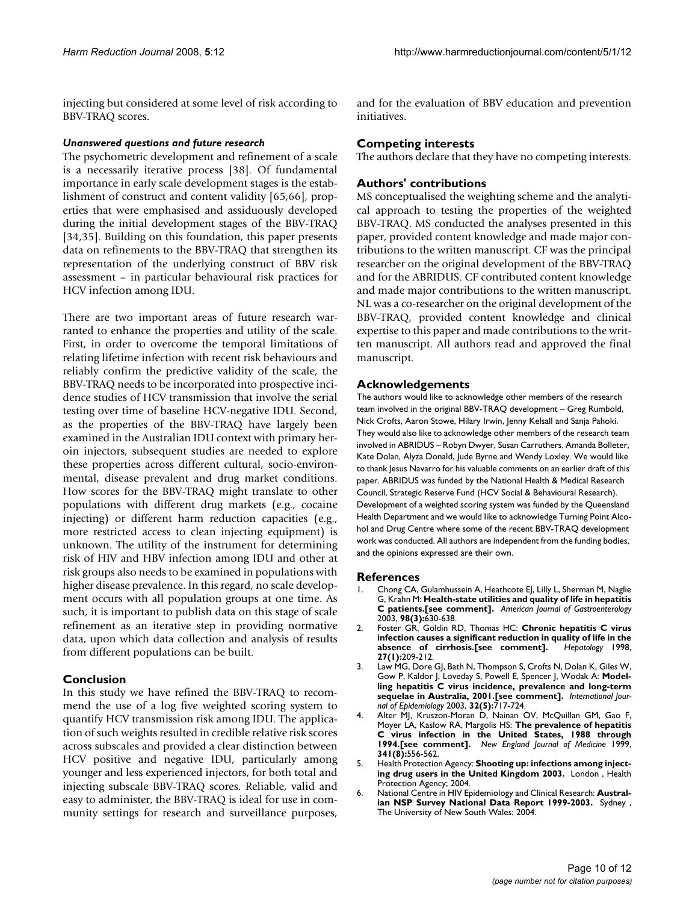injecting but considered at some level of risk according to BBV-TRAQ scores.

#### *Unanswered questions and future research*

The psychometric development and refinement of a scale is a necessarily iterative process [38]. Of fundamental importance in early scale development stages is the establishment of construct and content validity [65,66], properties that were emphasised and assiduously developed during the initial development stages of the BBV-TRAQ [34,35]. Building on this foundation, this paper presents data on refinements to the BBV-TRAQ that strengthen its representation of the underlying construct of BBV risk assessment – in particular behavioural risk practices for HCV infection among IDU.

There are two important areas of future research warranted to enhance the properties and utility of the scale. First, in order to overcome the temporal limitations of relating lifetime infection with recent risk behaviours and reliably confirm the predictive validity of the scale, the BBV-TRAQ needs to be incorporated into prospective incidence studies of HCV transmission that involve the serial testing over time of baseline HCV-negative IDU. Second, as the properties of the BBV-TRAQ have largely been examined in the Australian IDU context with primary heroin injectors, subsequent studies are needed to explore these properties across different cultural, socio-environmental, disease prevalent and drug market conditions. How scores for the BBV-TRAQ might translate to other populations with different drug markets (e.g., cocaine injecting) or different harm reduction capacities (e.g., more restricted access to clean injecting equipment) is unknown. The utility of the instrument for determining risk of HIV and HBV infection among IDU and other at risk groups also needs to be examined in populations with higher disease prevalence. In this regard, no scale development occurs with all population groups at one time. As such, it is important to publish data on this stage of scale refinement as an iterative step in providing normative data, upon which data collection and analysis of results from different populations can be built.

# **Conclusion**

In this study we have refined the BBV-TRAQ to recommend the use of a log five weighted scoring system to quantify HCV transmission risk among IDU. The application of such weights resulted in credible relative risk scores across subscales and provided a clear distinction between HCV positive and negative IDU, particularly among younger and less experienced injectors, for both total and injecting subscale BBV-TRAQ scores. Reliable, valid and easy to administer, the BBV-TRAQ is ideal for use in community settings for research and surveillance purposes,

and for the evaluation of BBV education and prevention initiatives.

# **Competing interests**

The authors declare that they have no competing interests.

# **Authors' contributions**

MS conceptualised the weighting scheme and the analytical approach to testing the properties of the weighted BBV-TRAQ. MS conducted the analyses presented in this paper, provided content knowledge and made major contributions to the written manuscript. CF was the principal researcher on the original development of the BBV-TRAQ and for the ABRIDUS. CF contributed content knowledge and made major contributions to the written manuscript. NL was a co-researcher on the original development of the BBV-TRAQ, provided content knowledge and clinical expertise to this paper and made contributions to the written manuscript. All authors read and approved the final manuscript.

# **Acknowledgements**

The authors would like to acknowledge other members of the research team involved in the original BBV-TRAQ development – Greg Rumbold, Nick Crofts, Aaron Stowe, Hilary Irwin, Jenny Kelsall and Sanja Pahoki. They would also like to acknowledge other members of the research team involved in ABRIDUS – Robyn Dwyer, Susan Carruthers, Amanda Bolleter, Kate Dolan, Alyza Donald, Jude Byrne and Wendy Loxley. We would like to thank Jesus Navarro for his valuable comments on an earlier draft of this paper. ABRIDUS was funded by the National Health & Medical Research Council, Strategic Reserve Fund (HCV Social & Behavioural Research). Development of a weighted scoring system was funded by the Queensland Health Department and we would like to acknowledge Turning Point Alcohol and Drug Centre where some of the recent BBV-TRAQ development work was conducted. All authors are independent from the funding bodies, and the opinions expressed are their own.

#### **References**

- Chong CA, Gulamhussein A, Heathcote EJ, Lilly L, Sherman M, Naglie G, Krahn M: **[Health-state utilities and quality of life in hepatitis](http://www.ncbi.nlm.nih.gov/entrez/query.fcgi?cmd=Retrieve&db=PubMed&dopt=Abstract&list_uids=12650799) [C patients.\[see comment\].](http://www.ncbi.nlm.nih.gov/entrez/query.fcgi?cmd=Retrieve&db=PubMed&dopt=Abstract&list_uids=12650799)** *American Journal of Gastroenterology* 2003, **98(3):**630-638.
- 2. Foster GR, Goldin RD, Thomas HC: **[Chronic hepatitis C virus](http://www.ncbi.nlm.nih.gov/entrez/query.fcgi?cmd=Retrieve&db=PubMed&dopt=Abstract&list_uids=9425939) [infection causes a significant reduction in quality of life in the](http://www.ncbi.nlm.nih.gov/entrez/query.fcgi?cmd=Retrieve&db=PubMed&dopt=Abstract&list_uids=9425939) [absence of cirrhosis.\[see comment\].](http://www.ncbi.nlm.nih.gov/entrez/query.fcgi?cmd=Retrieve&db=PubMed&dopt=Abstract&list_uids=9425939)** *Hepatology* 1998, **27(1):**209-212.
- 3. Law MG, Dore GJ, Bath N, Thompson S, Crofts N, Dolan K, Giles W, Gow P, Kaldor J, Loveday S, Powell E, Spencer J, Wodak A: **[Model](http://www.ncbi.nlm.nih.gov/entrez/query.fcgi?cmd=Retrieve&db=PubMed&dopt=Abstract&list_uids=14559738)[ling hepatitis C virus incidence, prevalence and long-term](http://www.ncbi.nlm.nih.gov/entrez/query.fcgi?cmd=Retrieve&db=PubMed&dopt=Abstract&list_uids=14559738) [sequelae in Australia, 2001.\[see comment\].](http://www.ncbi.nlm.nih.gov/entrez/query.fcgi?cmd=Retrieve&db=PubMed&dopt=Abstract&list_uids=14559738)** *International Journal of Epidemiology* 2003, **32(5):**717-724.
- Alter MJ, Kruszon-Moran D, Nainan OV, McQuillan GM, Gao F, Moyer LA, Kaslow RA, Margolis HS: **[The prevalence of hepatitis](http://www.ncbi.nlm.nih.gov/entrez/query.fcgi?cmd=Retrieve&db=PubMed&dopt=Abstract&list_uids=10451460) [C virus infection in the United States, 1988 through](http://www.ncbi.nlm.nih.gov/entrez/query.fcgi?cmd=Retrieve&db=PubMed&dopt=Abstract&list_uids=10451460) [1994.\[see comment\].](http://www.ncbi.nlm.nih.gov/entrez/query.fcgi?cmd=Retrieve&db=PubMed&dopt=Abstract&list_uids=10451460)** *New England Journal of Medicine* 1999, **341(8):**556-562.
- 5. Health Protection Agency: **Shooting up: infections among injecting drug users in the United Kingdom 2003.** London , Health Protection Agency; 2004.
- 6. National Centre in HIV Epidemiology and Clinical Research: **Australian NSP Survey National Data Report 1999-2003.** Sydney , The University of New South Wales; 2004.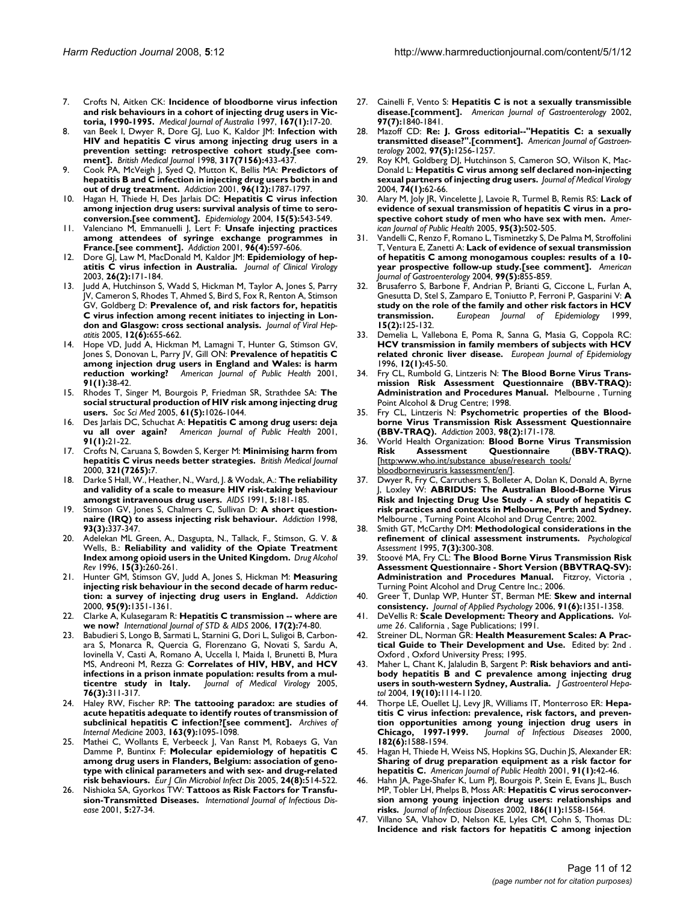- 7. Crofts N, Aitken CK: **[Incidence of bloodborne virus infection](http://www.ncbi.nlm.nih.gov/entrez/query.fcgi?cmd=Retrieve&db=PubMed&dopt=Abstract&list_uids=9236754) [and risk behaviours in a cohort of injecting drug users in Vic](http://www.ncbi.nlm.nih.gov/entrez/query.fcgi?cmd=Retrieve&db=PubMed&dopt=Abstract&list_uids=9236754)[toria, 1990-1995.](http://www.ncbi.nlm.nih.gov/entrez/query.fcgi?cmd=Retrieve&db=PubMed&dopt=Abstract&list_uids=9236754)** *Medical Journal of Australia* 1997, **167(1):**17-20.
- 8. van Beek I, Dwyer R, Dore GJ, Luo K, Kaldor JM: **[Infection with](http://www.ncbi.nlm.nih.gov/entrez/query.fcgi?cmd=Retrieve&db=PubMed&dopt=Abstract&list_uids=9703523) HIV and hepatitis C virus among injecting drug users in a [prevention setting: retrospective cohort study.\[see com](http://www.ncbi.nlm.nih.gov/entrez/query.fcgi?cmd=Retrieve&db=PubMed&dopt=Abstract&list_uids=9703523)[ment\].](http://www.ncbi.nlm.nih.gov/entrez/query.fcgi?cmd=Retrieve&db=PubMed&dopt=Abstract&list_uids=9703523)** *British Medical Journal* 1998, **317(7156):**433-437.
- 9. Cook PA, McVeigh J, Syed Q, Mutton K, Bellis MA: **[Predictors of](http://www.ncbi.nlm.nih.gov/entrez/query.fcgi?cmd=Retrieve&db=PubMed&dopt=Abstract&list_uids=11784471) [hepatitis B and C infection in injecting drug users both in and](http://www.ncbi.nlm.nih.gov/entrez/query.fcgi?cmd=Retrieve&db=PubMed&dopt=Abstract&list_uids=11784471) [out of drug treatment.](http://www.ncbi.nlm.nih.gov/entrez/query.fcgi?cmd=Retrieve&db=PubMed&dopt=Abstract&list_uids=11784471)** *Addiction* 2001, **96(12):**1787-1797.
- 10. Hagan H, Thiede H, Des Jarlais DC: **[Hepatitis C virus infection](http://www.ncbi.nlm.nih.gov/entrez/query.fcgi?cmd=Retrieve&db=PubMed&dopt=Abstract&list_uids=15308953) [among injection drug users: survival analysis of time to sero](http://www.ncbi.nlm.nih.gov/entrez/query.fcgi?cmd=Retrieve&db=PubMed&dopt=Abstract&list_uids=15308953)[conversion.\[see comment\].](http://www.ncbi.nlm.nih.gov/entrez/query.fcgi?cmd=Retrieve&db=PubMed&dopt=Abstract&list_uids=15308953)** *Epidemiology* 2004, **15(5):**543-549.
- 11. Valenciano M, Emmanuelli J, Lert F: **[Unsafe injecting practices](http://www.ncbi.nlm.nih.gov/entrez/query.fcgi?cmd=Retrieve&db=PubMed&dopt=Abstract&list_uids=11300963) [among attendees of syringe exchange programmes in](http://www.ncbi.nlm.nih.gov/entrez/query.fcgi?cmd=Retrieve&db=PubMed&dopt=Abstract&list_uids=11300963) [France.\[see comment\].](http://www.ncbi.nlm.nih.gov/entrez/query.fcgi?cmd=Retrieve&db=PubMed&dopt=Abstract&list_uids=11300963)** *Addiction* 2001, **96(4):**597-606.
- 12. Dore GJ, Law M, MacDonald M, Kaldor JM: **[Epidemiology of hep](http://www.ncbi.nlm.nih.gov/entrez/query.fcgi?cmd=Retrieve&db=PubMed&dopt=Abstract&list_uids=12600649)[atitis C virus infection in Australia.](http://www.ncbi.nlm.nih.gov/entrez/query.fcgi?cmd=Retrieve&db=PubMed&dopt=Abstract&list_uids=12600649)** *Journal of Clinical Virology* 2003, **26(2):**171-184.
- 13. Judd A, Hutchinson S, Wadd S, Hickman M, Taylor A, Jones S, Parry JV, Cameron S, Rhodes T, Ahmed S, Bird S, Fox R, Renton A, Stimson GV, Goldberg D: **[Prevalence of, and risk factors for, hepatitis](http://www.ncbi.nlm.nih.gov/entrez/query.fcgi?cmd=Retrieve&db=PubMed&dopt=Abstract&list_uids=16255768) [C virus infection among recent initiates to injecting in Lon](http://www.ncbi.nlm.nih.gov/entrez/query.fcgi?cmd=Retrieve&db=PubMed&dopt=Abstract&list_uids=16255768)[don and Glasgow: cross sectional analysis.](http://www.ncbi.nlm.nih.gov/entrez/query.fcgi?cmd=Retrieve&db=PubMed&dopt=Abstract&list_uids=16255768)** *Journal of Viral Hepatitis* 2005, **12(6):**655-662.
- 14. Hope VD, Judd A, Hickman M, Lamagni T, Hunter G, Stimson GV, Jones S, Donovan L, Parry JV, Gill ON: **[Prevalence of hepatitis C](http://www.ncbi.nlm.nih.gov/entrez/query.fcgi?cmd=Retrieve&db=PubMed&dopt=Abstract&list_uids=11189821) [among injection drug users in England and Wales: is harm](http://www.ncbi.nlm.nih.gov/entrez/query.fcgi?cmd=Retrieve&db=PubMed&dopt=Abstract&list_uids=11189821) [reduction working?](http://www.ncbi.nlm.nih.gov/entrez/query.fcgi?cmd=Retrieve&db=PubMed&dopt=Abstract&list_uids=11189821)** *American Journal of Public Health* 2001, **91(1):**38-42.
- 15. Rhodes T, Singer M, Bourgois P, Friedman SR, Strathdee SA: **[The](http://www.ncbi.nlm.nih.gov/entrez/query.fcgi?cmd=Retrieve&db=PubMed&dopt=Abstract&list_uids=15955404) [social structural production of HIV risk among injecting drug](http://www.ncbi.nlm.nih.gov/entrez/query.fcgi?cmd=Retrieve&db=PubMed&dopt=Abstract&list_uids=15955404) [users.](http://www.ncbi.nlm.nih.gov/entrez/query.fcgi?cmd=Retrieve&db=PubMed&dopt=Abstract&list_uids=15955404)** *Soc Sci Med* 2005, **61(5):**1026-1044.
- 16. Des Jarlais DC, Schuchat A: **[Hepatitis C among drug users: deja](http://www.ncbi.nlm.nih.gov/entrez/query.fcgi?cmd=Retrieve&db=PubMed&dopt=Abstract&list_uids=11189818) [vu all over again?](http://www.ncbi.nlm.nih.gov/entrez/query.fcgi?cmd=Retrieve&db=PubMed&dopt=Abstract&list_uids=11189818)** *American Journal of Public Health* 2001, **91(1):**21-22.
- 17. Crofts N, Caruana S, Bowden S, Kerger M: **[Minimising harm from](http://www.ncbi.nlm.nih.gov/entrez/query.fcgi?cmd=Retrieve&db=PubMed&dopt=Abstract&list_uids=10875812) [hepatitis C virus needs better strategies.](http://www.ncbi.nlm.nih.gov/entrez/query.fcgi?cmd=Retrieve&db=PubMed&dopt=Abstract&list_uids=10875812)** *British Medical Journal* 2000, **321(7265):**7.
- 18. Darke S Hall, W., Heather, N., Ward, J. & Wodak, A.: **[The reliability](http://www.ncbi.nlm.nih.gov/entrez/query.fcgi?cmd=Retrieve&db=PubMed&dopt=Abstract&list_uids=2031690) [and validity of a scale to measure HIV risk-taking behaviour](http://www.ncbi.nlm.nih.gov/entrez/query.fcgi?cmd=Retrieve&db=PubMed&dopt=Abstract&list_uids=2031690) [amongst intravenous drug users.](http://www.ncbi.nlm.nih.gov/entrez/query.fcgi?cmd=Retrieve&db=PubMed&dopt=Abstract&list_uids=2031690)** *AIDS* 1991, **5:**181-185.
- 19. Stimson GV, Jones S, Chalmers C, Sullivan D: **[A short question](http://www.ncbi.nlm.nih.gov/entrez/query.fcgi?cmd=Retrieve&db=PubMed&dopt=Abstract&list_uids=10328042)[naire \(IRQ\) to assess injecting risk behaviour.](http://www.ncbi.nlm.nih.gov/entrez/query.fcgi?cmd=Retrieve&db=PubMed&dopt=Abstract&list_uids=10328042)** *Addiction* 1998, **93(3):**337-347.
- Adelekan ML Green, A., Dasgupta, N., Tallack, F., Stimson, G. V. & Wells, B.: **Reliability and validity of the Opiate Treatment Index among opioid users in the United Kingdom.** *Drug Alcohol Rev* 1996, **15(3):**260-261.
- 21. Hunter GM, Stimson GV, Judd A, Jones S, Hickman M: **[Measuring](http://www.ncbi.nlm.nih.gov/entrez/query.fcgi?cmd=Retrieve&db=PubMed&dopt=Abstract&list_uids=11048354) [injecting risk behaviour in the second decade of harm reduc](http://www.ncbi.nlm.nih.gov/entrez/query.fcgi?cmd=Retrieve&db=PubMed&dopt=Abstract&list_uids=11048354)[tion: a survey of injecting drug users in England.](http://www.ncbi.nlm.nih.gov/entrez/query.fcgi?cmd=Retrieve&db=PubMed&dopt=Abstract&list_uids=11048354)** *Addiction* 2000, **95(9):**1351-1361.
- 22. Clarke A, Kulasegaram R: **[Hepatitis C transmission -- where are](http://www.ncbi.nlm.nih.gov/entrez/query.fcgi?cmd=Retrieve&db=PubMed&dopt=Abstract&list_uids=16464265) [we now?](http://www.ncbi.nlm.nih.gov/entrez/query.fcgi?cmd=Retrieve&db=PubMed&dopt=Abstract&list_uids=16464265)** *International Journal of STD & AIDS* 2006, **17(2):**74-80.
- 23. Babudieri S, Longo B, Sarmati L, Starnini G, Dori L, Suligoi B, Carbonara S, Monarca R, Quercia G, Florenzano G, Novati S, Sardu A, Iovinella V, Casti A, Romano A, Uccella I, Maida I, Brunetti B, Mura MS, Andreoni M, Rezza G: **[Correlates of HIV, HBV, and HCV](http://www.ncbi.nlm.nih.gov/entrez/query.fcgi?cmd=Retrieve&db=PubMed&dopt=Abstract&list_uids=15902712)** infections in a prison inmate population: results from a multicentre study in Italy. Journal of Medical Virology 2005, **[ticentre study in Italy.](http://www.ncbi.nlm.nih.gov/entrez/query.fcgi?cmd=Retrieve&db=PubMed&dopt=Abstract&list_uids=15902712)** *Journal of Medical Virology* 2005, **76(3):**311-317.
- 24. Haley RW, Fischer RP: **[The tattooing paradox: are studies of](http://www.ncbi.nlm.nih.gov/entrez/query.fcgi?cmd=Retrieve&db=PubMed&dopt=Abstract&list_uids=12742809) [acute hepatitis adequate to identify routes of transmission of](http://www.ncbi.nlm.nih.gov/entrez/query.fcgi?cmd=Retrieve&db=PubMed&dopt=Abstract&list_uids=12742809) [subclinical hepatitis C infection?\[see comment\].](http://www.ncbi.nlm.nih.gov/entrez/query.fcgi?cmd=Retrieve&db=PubMed&dopt=Abstract&list_uids=12742809)** *Archives of Internal Medicine* 2003, **163(9):**1095-1098.
- 25. Mathei C, Wollants E, Verbeeck J, Van Ranst M, Robaeys G, Van Damme P, Buntinx F: **[Molecular epidemiology of hepatitis C](http://www.ncbi.nlm.nih.gov/entrez/query.fcgi?cmd=Retrieve&db=PubMed&dopt=Abstract&list_uids=16133411) among drug users in Flanders, Belgium: association of geno[type with clinical parameters and with sex- and drug-related](http://www.ncbi.nlm.nih.gov/entrez/query.fcgi?cmd=Retrieve&db=PubMed&dopt=Abstract&list_uids=16133411) [risk behaviours.](http://www.ncbi.nlm.nih.gov/entrez/query.fcgi?cmd=Retrieve&db=PubMed&dopt=Abstract&list_uids=16133411)** *Eur J Clin Microbiol Infect Dis* 2005, **24(8):**514-522.
- 26. Nishioka SA, Gyorkos TW: **Tattoos as Risk Factors for Transfusion-Transmitted Diseases.** *International Journal of Infectious Disease* 2001, **5:**27-34.
- 27. Cainelli F, Vento S: **[Hepatitis C is not a sexually transmissible](http://www.ncbi.nlm.nih.gov/entrez/query.fcgi?cmd=Retrieve&db=PubMed&dopt=Abstract&list_uids=12135049) [disease.\[comment\].](http://www.ncbi.nlm.nih.gov/entrez/query.fcgi?cmd=Retrieve&db=PubMed&dopt=Abstract&list_uids=12135049)** *American Journal of Gastroenterology* 2002, **97(7):**1840-1841.
- 28. Mazoff CD: **[Re: J. Gross editorial--"Hepatitis C: a sexually](http://www.ncbi.nlm.nih.gov/entrez/query.fcgi?cmd=Retrieve&db=PubMed&dopt=Abstract&list_uids=12014735) [transmitted disease?".\[comment\].](http://www.ncbi.nlm.nih.gov/entrez/query.fcgi?cmd=Retrieve&db=PubMed&dopt=Abstract&list_uids=12014735)** *American Journal of Gastroenterology* 2002, **97(5):**1256-1257.
- 29. Roy KM, Goldberg DJ, Hutchinson S, Cameron SO, Wilson K, Mac-Donald L: **[Hepatitis C virus among self declared non-injecting](http://www.ncbi.nlm.nih.gov/entrez/query.fcgi?cmd=Retrieve&db=PubMed&dopt=Abstract&list_uids=15258969) [sexual partners of injecting drug users.](http://www.ncbi.nlm.nih.gov/entrez/query.fcgi?cmd=Retrieve&db=PubMed&dopt=Abstract&list_uids=15258969)** *Journal of Medical Virology* 2004, **74(1):**62-66.
- 30. Alary M, Joly JR, Vincelette J, Lavoie R, Turmel B, Remis RS: **[Lack of](http://www.ncbi.nlm.nih.gov/entrez/query.fcgi?cmd=Retrieve&db=PubMed&dopt=Abstract&list_uids=15727984) [evidence of sexual transmission of hepatitis C virus in a pro](http://www.ncbi.nlm.nih.gov/entrez/query.fcgi?cmd=Retrieve&db=PubMed&dopt=Abstract&list_uids=15727984)[spective cohort study of men who have sex with men.](http://www.ncbi.nlm.nih.gov/entrez/query.fcgi?cmd=Retrieve&db=PubMed&dopt=Abstract&list_uids=15727984)** *American Journal of Public Health* 2005, **95(3):**502-505.
- 31. Vandelli C, Renzo F, Romano L, Tisminetzky S, De Palma M, Stroffolini T, Ventura E, Zanetti A: **[Lack of evidence of sexual transmission](http://www.ncbi.nlm.nih.gov/entrez/query.fcgi?cmd=Retrieve&db=PubMed&dopt=Abstract&list_uids=15128350) [of hepatitis C among monogamous couples: results of a 10](http://www.ncbi.nlm.nih.gov/entrez/query.fcgi?cmd=Retrieve&db=PubMed&dopt=Abstract&list_uids=15128350) [year prospective follow-up study.\[see comment\].](http://www.ncbi.nlm.nih.gov/entrez/query.fcgi?cmd=Retrieve&db=PubMed&dopt=Abstract&list_uids=15128350)** *American Journal of Gastroenterology* 2004, **99(5):**855-859.
- 32. Brusaferro S, Barbone F, Andrian P, Brianti G, Ciccone L, Furlan A, Gnesutta D, Stel S, Zamparo E, Toniutto P, Ferroni P, Gasparini V: **[A](http://www.ncbi.nlm.nih.gov/entrez/query.fcgi?cmd=Retrieve&db=PubMed&dopt=Abstract&list_uids=10204641) [study on the role of the family and other risk factors in HCV](http://www.ncbi.nlm.nih.gov/entrez/query.fcgi?cmd=Retrieve&db=PubMed&dopt=Abstract&list_uids=10204641) [transmission.](http://www.ncbi.nlm.nih.gov/entrez/query.fcgi?cmd=Retrieve&db=PubMed&dopt=Abstract&list_uids=10204641)** *European Journal of Epidemiology* 1999, **15(2):**125-132.
- 33. Demelia L, Vallebona E, Poma R, Sanna G, Masia G, Coppola RC: **[HCV transmission in family members of subjects with HCV](http://www.ncbi.nlm.nih.gov/entrez/query.fcgi?cmd=Retrieve&db=PubMed&dopt=Abstract&list_uids=8817177) [related chronic liver disease.](http://www.ncbi.nlm.nih.gov/entrez/query.fcgi?cmd=Retrieve&db=PubMed&dopt=Abstract&list_uids=8817177)** *European Journal of Epidemiology* 1996, **12(1):**45-50.
- 34. Fry CL, Rumbold G, Lintzeris N: **The Blood Borne Virus Transmission Risk Assessment Questionnaire (BBV-TRAQ): Administration and Procedures Manual.** Melbourne , Turning Point Alcohol & Drug Centre; 1998.
- 35. Fry CL, Lintzeris N: **[Psychometric properties of the Blood](http://www.ncbi.nlm.nih.gov/entrez/query.fcgi?cmd=Retrieve&db=PubMed&dopt=Abstract&list_uids=12534421)[borne Virus Transmission Risk Assessment Questionnaire](http://www.ncbi.nlm.nih.gov/entrez/query.fcgi?cmd=Retrieve&db=PubMed&dopt=Abstract&list_uids=12534421) [\(BBV-TRAQ\).](http://www.ncbi.nlm.nih.gov/entrez/query.fcgi?cmd=Retrieve&db=PubMed&dopt=Abstract&list_uids=12534421)** *Addiction* 2003, **98(2):**171-178.
- 36. World Health Organization: **Blood Borne Virus Transmission Questionnaire** [[http:www.who.int/substance\\_abuse/research\\_tools/](http://www.who.int/substance_abuse/research_tools/bloodbornevirusriskassessment/en/) [bloodbornevirusris kassessment/en/](http://www.who.int/substance_abuse/research_tools/bloodbornevirusriskassessment/en/)].
- 37. Dwyer R, Fry C, Carruthers S, Bolleter A, Dolan K, Donald A, Byrne J, Loxley W: **ABRIDUS: The Australian Blood-Borne Virus Risk and Injecting Drug Use Study - A study of hepatitis C risk practices and contexts in Melbourne, Perth and Sydney.** Melbourne , Turning Point Alcohol and Drug Centre; 2002.
- 38. Smith GT, McCarthy DM: **Methodological considerations in the refinement of clinical assessment instruments.** *Psychological Assessment* 1995, **7(3):**300-308.
- 39. Stoové MA, Fry CL: **The Blood Borne Virus Transmission Risk Assessment Questionnaire - Short Version (BBVTRAQ-SV): Administration and Procedures Manual.** Fitzroy, Victoria , Turning Point Alcohol and Drug Centre Inc.; 2006.
- 40. Greer T, Dunlap WP, Hunter ST, Berman ME: **[Skew and internal](http://www.ncbi.nlm.nih.gov/entrez/query.fcgi?cmd=Retrieve&db=PubMed&dopt=Abstract&list_uids=17100489) [consistency.](http://www.ncbi.nlm.nih.gov/entrez/query.fcgi?cmd=Retrieve&db=PubMed&dopt=Abstract&list_uids=17100489)** *Journal of Applied Psychology* 2006, **91(6):**1351-1358.
- 41. DeVellis R: **Scale Development: Theory and Applications.** *Volume 26*. California , Sage Publications; 1991.
- Streiner DL, Norman GR: Health Measurement Scales: A Prac**tical Guide to Their Development and Use.** Edited by: 2nd . Oxford , Oxford University Press; 1995.
- 43. Maher L, Chant K, Jalaludin B, Sargent P: **[Risk behaviors and anti](http://www.ncbi.nlm.nih.gov/entrez/query.fcgi?cmd=Retrieve&db=PubMed&dopt=Abstract&list_uids=15377287)[body hepatitis B and C prevalence among injecting drug](http://www.ncbi.nlm.nih.gov/entrez/query.fcgi?cmd=Retrieve&db=PubMed&dopt=Abstract&list_uids=15377287) [users in south-western Sydney, Australia.](http://www.ncbi.nlm.nih.gov/entrez/query.fcgi?cmd=Retrieve&db=PubMed&dopt=Abstract&list_uids=15377287)** *J Gastroenterol Hepatol* 2004, **19(10):**1114-1120.
- 44. Thorpe LE, Ouellet LJ, Levy JR, Williams IT, Monterroso ER: **[Hepa](http://www.ncbi.nlm.nih.gov/entrez/query.fcgi?cmd=Retrieve&db=PubMed&dopt=Abstract&list_uids=11069228)titis C virus infection: prevalence, risk factors, and preven**[tion opportunities among young injection drug users in](http://www.ncbi.nlm.nih.gov/entrez/query.fcgi?cmd=Retrieve&db=PubMed&dopt=Abstract&list_uids=11069228) Chicago, 1997-1999. Journal of Infectious Diseases 2000, **[Chicago, 1997-1999.](http://www.ncbi.nlm.nih.gov/entrez/query.fcgi?cmd=Retrieve&db=PubMed&dopt=Abstract&list_uids=11069228)** *Journal of Infectious Diseases* 2000, **182(6):**1588-1594.
- 45. Hagan H, Thiede H, Weiss NS, Hopkins SG, Duchin JS, Alexander ER: **[Sharing of drug preparation equipment as a risk factor for](http://www.ncbi.nlm.nih.gov/entrez/query.fcgi?cmd=Retrieve&db=PubMed&dopt=Abstract&list_uids=11189822) [hepatitis C.](http://www.ncbi.nlm.nih.gov/entrez/query.fcgi?cmd=Retrieve&db=PubMed&dopt=Abstract&list_uids=11189822)** *American Journal of Public Health* 2001, **91(1):**42-46.
- 46. Hahn JA, Page-Shafer K, Lum PJ, Bourgois P, Stein E, Evans JL, Busch MP, Tobler LH, Phelps B, Moss AR: **[Hepatitis C virus seroconver](http://www.ncbi.nlm.nih.gov/entrez/query.fcgi?cmd=Retrieve&db=PubMed&dopt=Abstract&list_uids=12447730)[sion among young injection drug users: relationships and](http://www.ncbi.nlm.nih.gov/entrez/query.fcgi?cmd=Retrieve&db=PubMed&dopt=Abstract&list_uids=12447730) [risks.](http://www.ncbi.nlm.nih.gov/entrez/query.fcgi?cmd=Retrieve&db=PubMed&dopt=Abstract&list_uids=12447730)** *Journal of Infectious Diseases* 2002, **186(11):**1558-1564.
- 47. Villano SA, Vlahov D, Nelson KE, Lyles CM, Cohn S, Thomas DL: **[Incidence and risk factors for hepatitis C among injection](http://www.ncbi.nlm.nih.gov/entrez/query.fcgi?cmd=Retrieve&db=PubMed&dopt=Abstract&list_uids=9399533)**